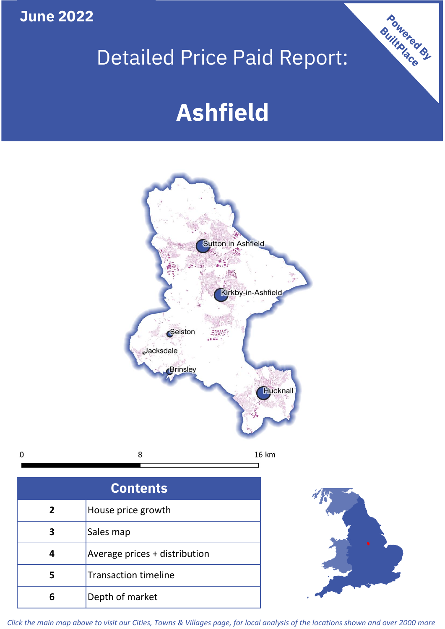**June 2022**

 $\mathbf 0$ 

## Detailed Price Paid Report:

# **Ashfield**



| <b>Contents</b> |                               |  |  |  |
|-----------------|-------------------------------|--|--|--|
|                 |                               |  |  |  |
| 2               | House price growth            |  |  |  |
| З               | Sales map                     |  |  |  |
|                 | Average prices + distribution |  |  |  |
| 5               | <b>Transaction timeline</b>   |  |  |  |
|                 | Depth of market               |  |  |  |



Powered By

*Click the main map above to visit our Cities, Towns & Villages page, for local analysis of the locations shown and over 2000 more*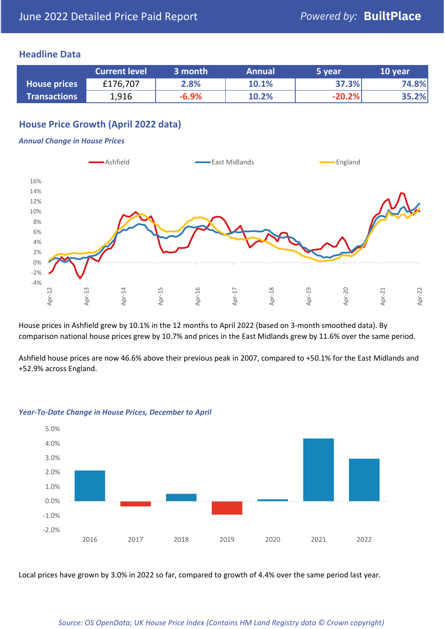#### **Headline Data**

|                     | <b>Current level</b> | 3 month | <b>Annual</b> | 5 year   | 10 year |
|---------------------|----------------------|---------|---------------|----------|---------|
| <b>House prices</b> | £176,707             | 2.8%    | 10.1%         | 37.3%    | 74.8%   |
| <b>Transactions</b> | 1,916                | $-6.9%$ | 10.2%         | $-20.2%$ | 35.2%   |

## **House Price Growth (April 2022 data)**

#### *Annual Change in House Prices*



House prices in Ashfield grew by 10.1% in the 12 months to April 2022 (based on 3-month smoothed data). By comparison national house prices grew by 10.7% and prices in the East Midlands grew by 11.6% over the same period.

Ashfield house prices are now 46.6% above their previous peak in 2007, compared to +50.1% for the East Midlands and +52.9% across England.



#### *Year-To-Date Change in House Prices, December to April*

Local prices have grown by 3.0% in 2022 so far, compared to growth of 4.4% over the same period last year.

#### *Source: OS OpenData; UK House Price Index (Contains HM Land Registry data © Crown copyright)*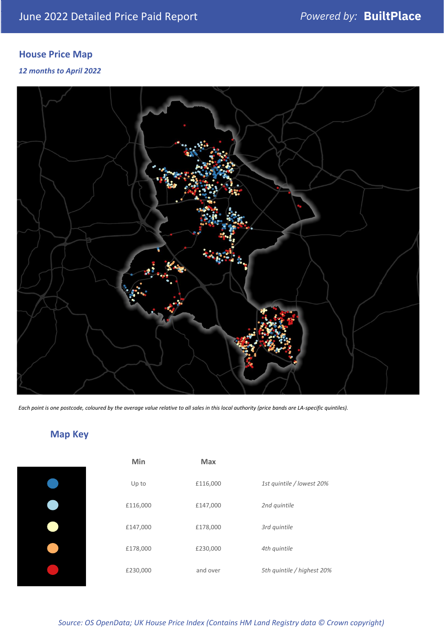## **House Price Map**

#### *12 months to April 2022*



*Each point is one postcode, coloured by the average value relative to all sales in this local authority (price bands are LA-specific quintiles).*

## **Map Key**

| Min      | <b>Max</b> |                            |
|----------|------------|----------------------------|
| Up to    | £116,000   | 1st quintile / lowest 20%  |
| £116,000 | £147,000   | 2nd quintile               |
| £147,000 | £178,000   | 3rd quintile               |
| £178,000 | £230,000   | 4th quintile               |
| £230,000 | and over   | 5th quintile / highest 20% |

#### *Source: OS OpenData; UK House Price Index (Contains HM Land Registry data © Crown copyright)*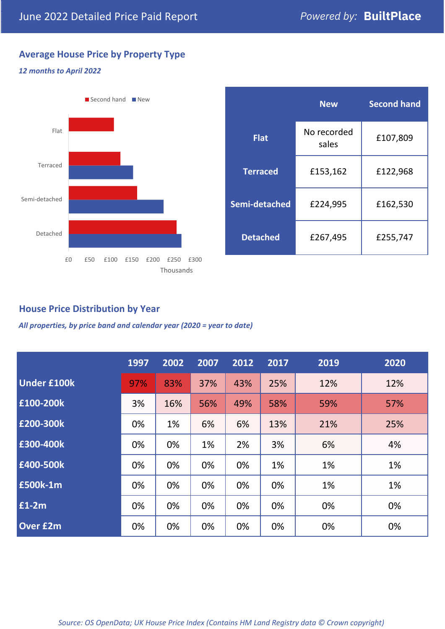## **Average House Price by Property Type**

## *12 months to April 2022*



|                 | <b>New</b>           | <b>Second hand</b> |  |
|-----------------|----------------------|--------------------|--|
| <b>Flat</b>     | No recorded<br>sales | £107,809           |  |
| <b>Terraced</b> | £153,162             | £122,968           |  |
| Semi-detached   | £224,995             | £162,530           |  |
| <b>Detached</b> | £267,495             | £255,747           |  |

## **House Price Distribution by Year**

*All properties, by price band and calendar year (2020 = year to date)*

|                    | 1997 | 2002 | 2007 | 2012 | 2017 | 2019 | 2020 |
|--------------------|------|------|------|------|------|------|------|
| <b>Under £100k</b> | 97%  | 83%  | 37%  | 43%  | 25%  | 12%  | 12%  |
| £100-200k          | 3%   | 16%  | 56%  | 49%  | 58%  | 59%  | 57%  |
| £200-300k          | 0%   | 1%   | 6%   | 6%   | 13%  | 21%  | 25%  |
| £300-400k          | 0%   | 0%   | 1%   | 2%   | 3%   | 6%   | 4%   |
| £400-500k          | 0%   | 0%   | 0%   | 0%   | 1%   | 1%   | 1%   |
| £500k-1m           | 0%   | 0%   | 0%   | 0%   | 0%   | 1%   | 1%   |
| £1-2m              | 0%   | 0%   | 0%   | 0%   | 0%   | 0%   | 0%   |
| <b>Over £2m</b>    | 0%   | 0%   | 0%   | 0%   | 0%   | 0%   | 0%   |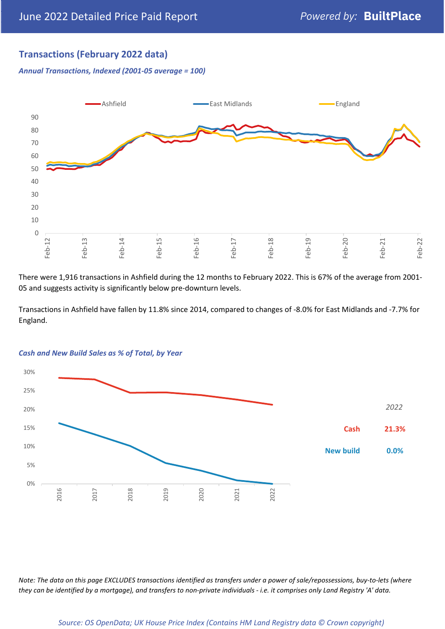## **Transactions (February 2022 data)**

*Annual Transactions, Indexed (2001-05 average = 100)*



There were 1,916 transactions in Ashfield during the 12 months to February 2022. This is 67% of the average from 2001- 05 and suggests activity is significantly below pre-downturn levels.

Transactions in Ashfield have fallen by 11.8% since 2014, compared to changes of -8.0% for East Midlands and -7.7% for England.



#### *Cash and New Build Sales as % of Total, by Year*

*Note: The data on this page EXCLUDES transactions identified as transfers under a power of sale/repossessions, buy-to-lets (where they can be identified by a mortgage), and transfers to non-private individuals - i.e. it comprises only Land Registry 'A' data.*